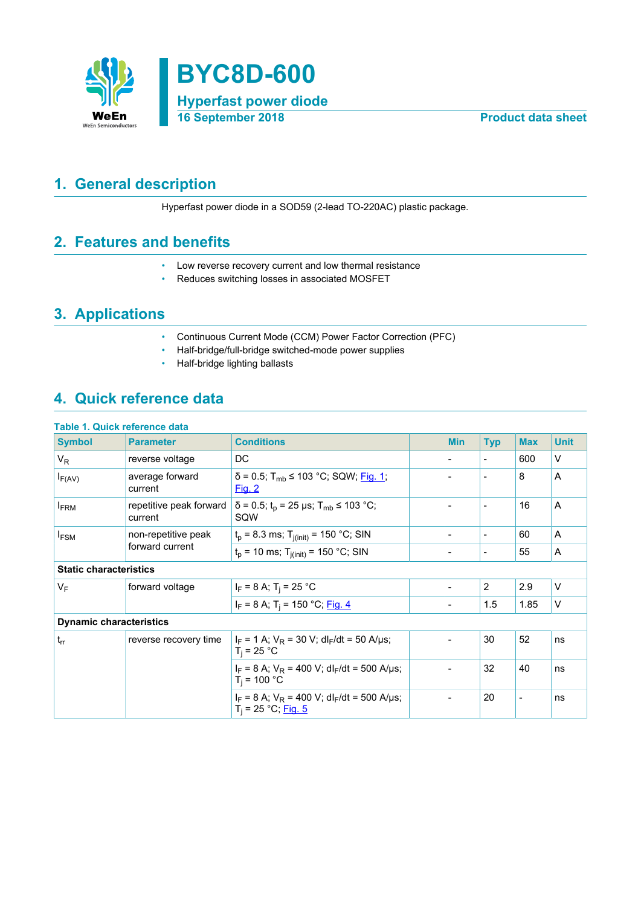

## <span id="page-0-0"></span>**1. General description**

Hyperfast power diode in a SOD59 (2-lead TO-220AC) plastic package.

### <span id="page-0-1"></span>**2. Features and benefits**

- Low reverse recovery current and low thermal resistance
- Reduces switching losses in associated MOSFET

### <span id="page-0-2"></span>**3. Applications**

- Continuous Current Mode (CCM) Power Factor Correction (PFC)
- Half-bridge/full-bridge switched-mode power supplies
- Half-bridge lighting ballasts

# <span id="page-0-3"></span>**4. Quick reference data**

| Table 1. Quick reference data  |                                    |                                                                                      |                          |                          |                |             |
|--------------------------------|------------------------------------|--------------------------------------------------------------------------------------|--------------------------|--------------------------|----------------|-------------|
| <b>Symbol</b>                  | <b>Parameter</b>                   | <b>Conditions</b>                                                                    | <b>Min</b>               | <b>Typ</b>               | <b>Max</b>     | <b>Unit</b> |
| $V_{R}$                        | reverse voltage                    | DC                                                                                   |                          | $\overline{\phantom{a}}$ | 600            | $\vee$      |
| $I_{F(AV)}$                    | average forward<br>current         | $\delta$ = 0.5; T <sub>mb</sub> ≤ 103 °C; SQW; Fig. 1;<br>Fig. 2                     |                          | $\overline{\phantom{a}}$ | 8              | A           |
| <b>FRM</b>                     | repetitive peak forward<br>current | $\delta$ = 0.5; t <sub>p</sub> = 25 µs; T <sub>mb</sub> ≤ 103 °C;<br>SQW             |                          | $\overline{\phantom{a}}$ | 16             | A           |
| $I_{FSM}$                      | non-repetitive peak                | $t_p$ = 8.3 ms; $T_{j(int)}$ = 150 °C; SIN                                           | $\overline{\phantom{a}}$ | $\overline{\phantom{a}}$ | 60             | A           |
|                                | forward current                    | $t_p$ = 10 ms; $T_{i(init)}$ = 150 °C; SIN                                           | $\overline{\phantom{a}}$ | $\overline{\phantom{a}}$ | 55             | A           |
| <b>Static characteristics</b>  |                                    |                                                                                      |                          |                          |                |             |
| VF                             | forward voltage                    | $I_F = 8 A$ ; T <sub>i</sub> = 25 °C                                                 |                          | 2                        | 2.9            | $\vee$      |
|                                |                                    | $I_F = 8$ A; T <sub>i</sub> = 150 °C; Fig. 4                                         | $\overline{\phantom{a}}$ | 1.5                      | 1.85           | $\vee$      |
| <b>Dynamic characteristics</b> |                                    |                                                                                      |                          |                          |                |             |
| $t_{rr}$                       | reverse recovery time              | $I_F = 1$ A; $V_R = 30$ V; dl <sub>F</sub> /dt = 50 A/µs;<br>$T_i = 25 °C$           | $\overline{\phantom{0}}$ | 30                       | 52             | ns          |
|                                |                                    | $I_F = 8$ A; $V_R = 400$ V; dl <sub>F</sub> /dt = 500 A/µs;<br>$T_i = 100 °C$        | $\overline{\phantom{0}}$ | 32                       | 40             | ns          |
|                                |                                    | $I_F$ = 8 A; $V_R$ = 400 V; dl <sub>F</sub> /dt = 500 A/µs;<br>$T_i = 25 °C;$ Fig. 5 | -                        | 20                       | $\blacksquare$ | ns          |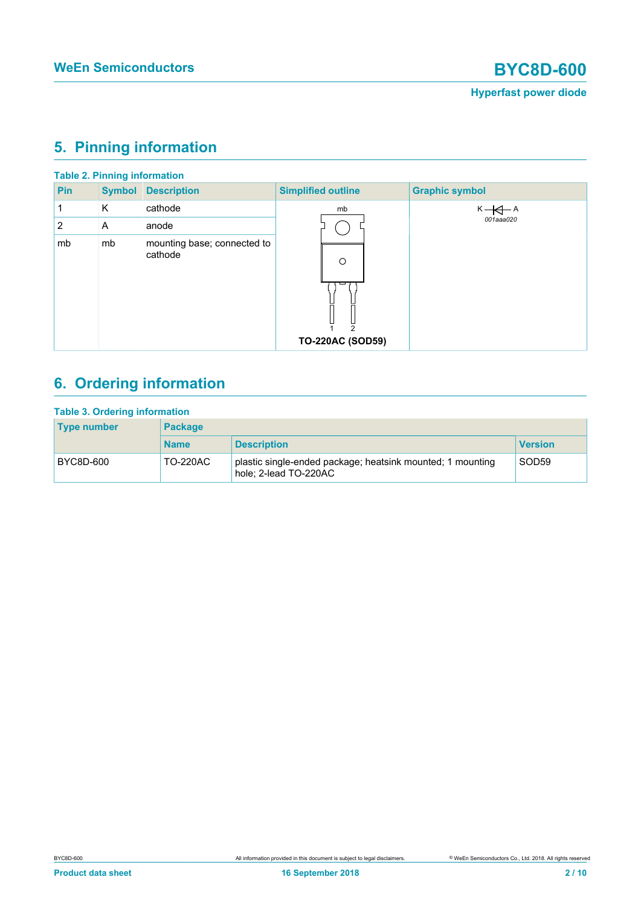# <span id="page-1-0"></span>**5. Pinning information**

|     |               | <b>Table 2. Pinning information</b>    |                                                      |                       |
|-----|---------------|----------------------------------------|------------------------------------------------------|-----------------------|
| Pin | <b>Symbol</b> | <b>Description</b>                     | <b>Simplified outline</b>                            | <b>Graphic symbol</b> |
| 1   | K             | cathode                                | mb                                                   | $K - \leftarrow A$    |
| 2   | A             | anode                                  |                                                      | 001aaa020             |
| mb  | mb            | mounting base; connected to<br>cathode | $\circ$<br>$\mathfrak{p}$<br><b>TO-220AC (SOD59)</b> |                       |

# <span id="page-1-1"></span>**6. Ordering information**

| <b>Type number</b> | <b>Package</b>  |                                                                                     |                   |  |  |  |
|--------------------|-----------------|-------------------------------------------------------------------------------------|-------------------|--|--|--|
|                    | <b>Name</b>     | <b>Description</b>                                                                  | <b>Version</b>    |  |  |  |
| BYC8D-600          | <b>TO-220AC</b> | plastic single-ended package; heatsink mounted; 1 mounting<br>hole; 2-lead TO-220AC | SOD <sub>59</sub> |  |  |  |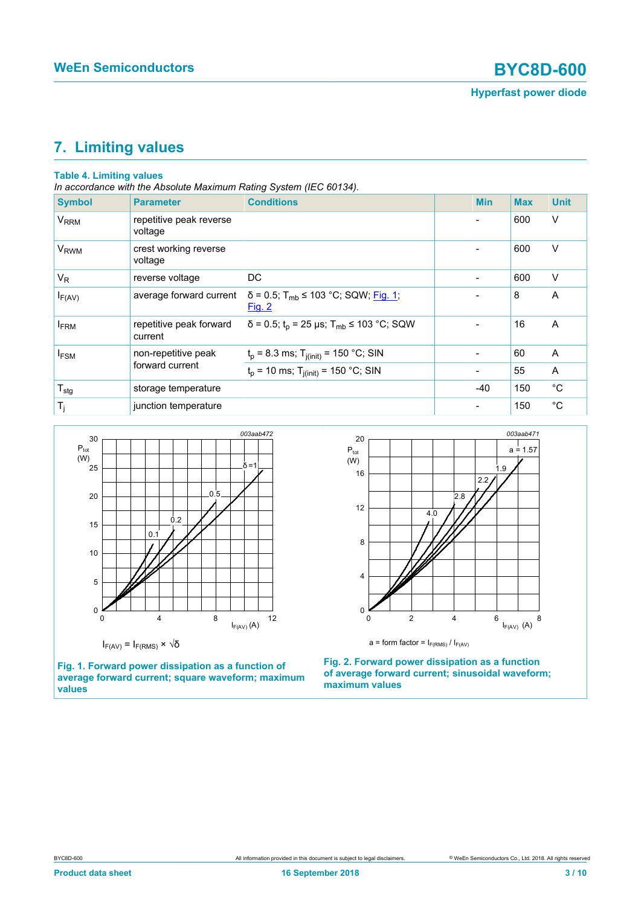## <span id="page-2-2"></span>**7. Limiting values**

#### **Table 4. Limiting values**

*In accordance with the Absolute Maximum Rating System (IEC 60134).*

| <b>Symbol</b>          | <b>Parameter</b>                       | <b>Conditions</b>                                                     | <b>Min</b> | <b>Max</b> | <b>Unit</b> |
|------------------------|----------------------------------------|-----------------------------------------------------------------------|------------|------------|-------------|
| <b>V<sub>RRM</sub></b> | repetitive peak reverse<br>voltage     |                                                                       |            | 600        | $\vee$      |
| <b>V<sub>RWM</sub></b> | crest working reverse<br>voltage       |                                                                       |            | 600        | V           |
| $V_R$                  | reverse voltage                        | DC.                                                                   |            | 600        | $\vee$      |
| $I_{F(AV)}$            | average forward current                | $\delta$ = 0.5; T <sub>mb</sub> ≤ 103 °C; SQW; Fig. 1;<br>Fig. 2      |            | 8          | A           |
| <b>IFRM</b>            | repetitive peak forward<br>current     | $\delta$ = 0.5; t <sub>p</sub> = 25 µs; T <sub>mb</sub> ≤ 103 °C; SQW |            | 16         | A           |
| <b>IFSM</b>            | non-repetitive peak<br>forward current | $t_p = 8.3$ ms; $T_{j(int)} = 150$ °C; SIN                            |            | 60         | A           |
|                        |                                        | $t_p$ = 10 ms; $T_{j(int)}$ = 150 °C; SIN                             |            | 55         | A           |
| $T_{\text{stg}}$       | storage temperature                    |                                                                       | $-40$      | 150        | $^{\circ}C$ |
| $T_j$                  | junction temperature                   |                                                                       |            | 150        | $^{\circ}C$ |

<span id="page-2-0"></span>

**Fig. 1. Forward power dissipation as a function of average forward current; square waveform; maximum values**

<span id="page-2-1"></span>

**Fig. 2. Forward power dissipation as a function of average forward current; sinusoidal waveform; maximum values**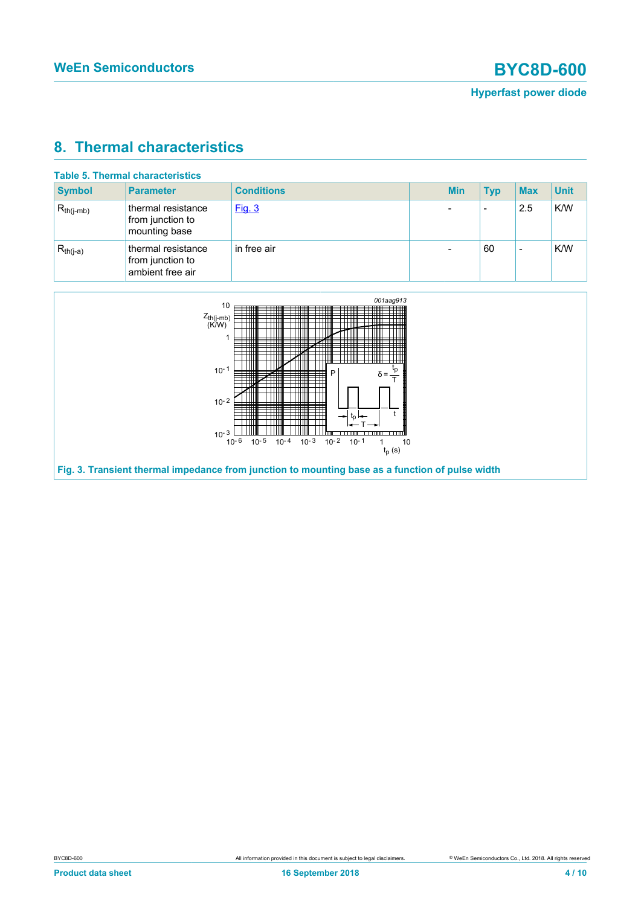### <span id="page-3-1"></span>**8. Thermal characteristics**

| <b>Table 5. Thermal characteristics</b> |                                                            |                   |  |            |            |            |             |
|-----------------------------------------|------------------------------------------------------------|-------------------|--|------------|------------|------------|-------------|
| <b>Symbol</b>                           | <b>Parameter</b>                                           | <b>Conditions</b> |  | <b>Min</b> | <b>Typ</b> | <b>Max</b> | <b>Unit</b> |
| $R_{th(j-mb)}$                          | thermal resistance<br>from junction to<br>mounting base    | Fig. 3            |  | -          | $\,$       | 2.5        | K/W         |
| $R_{th(j-a)}$                           | thermal resistance<br>from junction to<br>ambient free air | in free air       |  |            | 60         | $\,$       | K/W         |

<span id="page-3-0"></span>

**Fig. 3. Transient thermal impedance from junction to mounting base as a function of pulse width**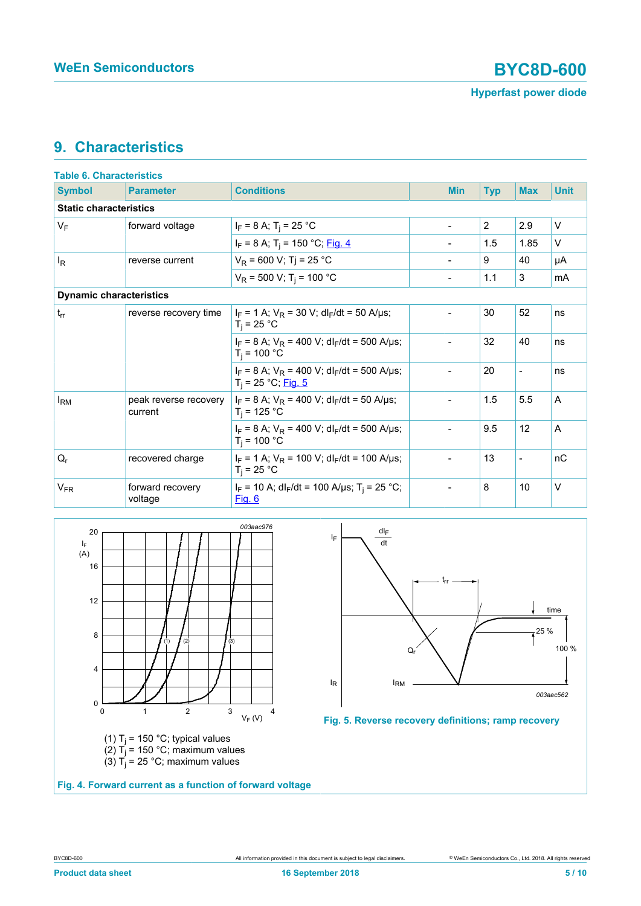### <span id="page-4-2"></span>**9. Characteristics**

| <b>Table 6. Characteristics</b> |                                  |                                                                                      |  |                          |            |                          |             |
|---------------------------------|----------------------------------|--------------------------------------------------------------------------------------|--|--------------------------|------------|--------------------------|-------------|
| <b>Symbol</b>                   | <b>Parameter</b>                 | <b>Conditions</b>                                                                    |  | <b>Min</b>               | <b>Typ</b> | <b>Max</b>               | <b>Unit</b> |
| <b>Static characteristics</b>   |                                  |                                                                                      |  |                          |            |                          |             |
| $V_F$                           | forward voltage                  | $I_F = 8 A$ ; T <sub>i</sub> = 25 °C                                                 |  | $\overline{\phantom{a}}$ | 2          | 2.9                      | $\vee$      |
|                                 |                                  | $I_F = 8$ A; T <sub>i</sub> = 150 °C; Fig. 4                                         |  |                          | 1.5        | 1.85                     | V           |
| <sup>I</sup> R                  | reverse current                  | $V_R$ = 600 V; Tj = 25 °C                                                            |  | $\overline{\phantom{a}}$ | 9          | 40                       | μA          |
|                                 |                                  | $V_R$ = 500 V; T <sub>i</sub> = 100 °C                                               |  |                          | 1.1        | 3                        | mA          |
| <b>Dynamic characteristics</b>  |                                  |                                                                                      |  |                          |            |                          |             |
| $t_{rr}$                        | reverse recovery time            | $I_F = 1$ A; $V_R = 30$ V; dl <sub>F</sub> /dt = 50 A/µs;<br>$T_i = 25 °C$           |  |                          | 30         | 52                       | ns          |
|                                 |                                  | $I_F = 8$ A; $V_R = 400$ V; dl <sub>F</sub> /dt = 500 A/us;<br>$T_i = 100 °C$        |  |                          | 32         | 40                       | ns          |
|                                 |                                  | $I_F = 8$ A; $V_R = 400$ V; dl <sub>F</sub> /dt = 500 A/µs;<br>$T_i = 25 °C;$ Fig. 5 |  | $\blacksquare$           | 20         | $\blacksquare$           | ns          |
| $I_{\rm RM}$                    | peak reverse recovery<br>current | $I_F = 8$ A; $V_R = 400$ V; dl <sub>F</sub> /dt = 50 A/µs;<br>$T_i = 125 °C$         |  |                          | 1.5        | 5.5                      | A           |
|                                 |                                  | $I_F = 8$ A; $V_R = 400$ V; dl <sub>F</sub> /dt = 500 A/us;<br>$T_i = 100 °C$        |  | $\overline{\phantom{a}}$ | 9.5        | 12                       | A           |
| $Q_{r}$                         | recovered charge                 | $I_F = 1$ A; $V_R = 100$ V; dl <sub>F</sub> /dt = 100 A/µs;<br>$T_i = 25 °C$         |  |                          | 13         | $\overline{\phantom{0}}$ | nC          |
| $V_{FR}$                        | forward recovery<br>voltage      | $I_F$ = 10 A; dl <sub>F</sub> /dt = 100 A/µs; T <sub>i</sub> = 25 °C;<br>Fig. 6      |  | $\overline{\phantom{a}}$ | 8          | 10                       | $\vee$      |

<span id="page-4-0"></span>

<span id="page-4-1"></span>



**Fig. 4. Forward current as a function of forward voltage**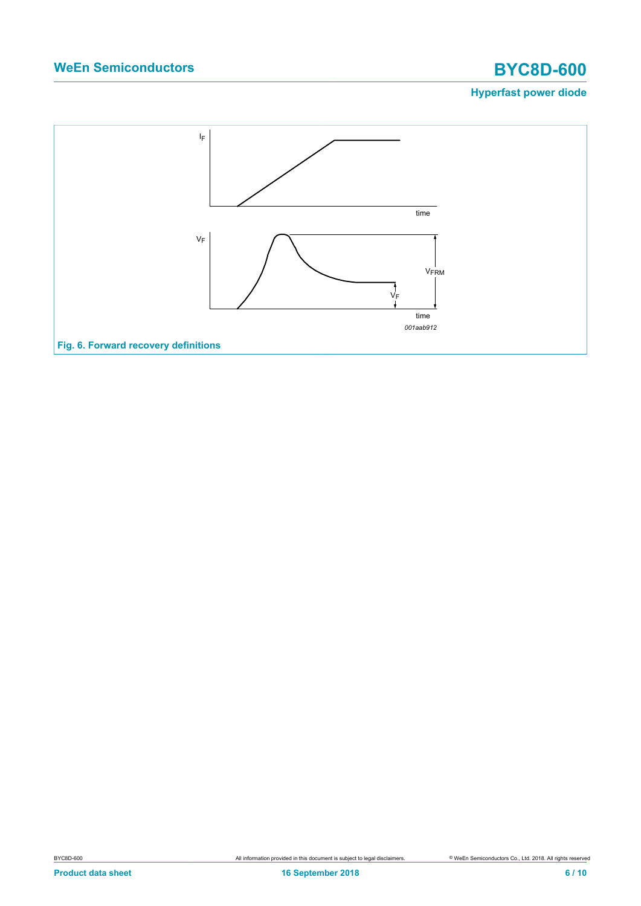# **WeEn Semiconductors BYC8D-600**

### **Hyperfast power diode**

<span id="page-5-0"></span>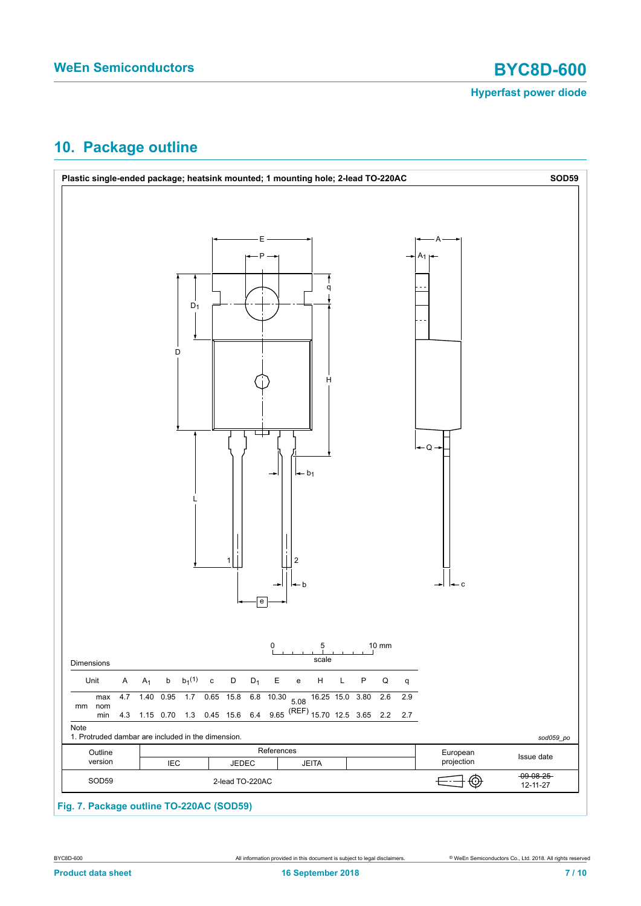

## <span id="page-6-0"></span>**10. Package outline**



### **Fig. 7. Package outline TO-220AC (SOD59)**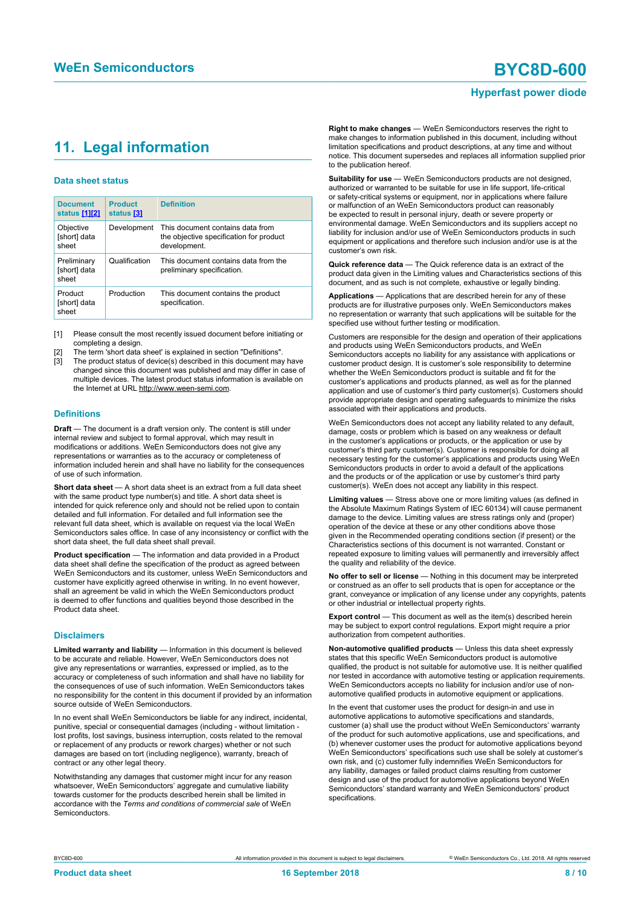## <span id="page-7-1"></span><span id="page-7-0"></span>**11. Legal information**

#### **Data sheet status**

| <b>Document</b><br>status [1][2]     | <b>Product</b><br>status [3] | <b>Definition</b>                                                                           |
|--------------------------------------|------------------------------|---------------------------------------------------------------------------------------------|
| Objective<br>[short] data<br>sheet   | Development                  | This document contains data from<br>the objective specification for product<br>development. |
| Preliminary<br>[short] data<br>sheet | Qualification                | This document contains data from the<br>preliminary specification.                          |
| Product<br>[short] data<br>sheet     | Production                   | This document contains the product<br>specification.                                        |

[1] Please consult the most recently issued document before initiating or completing a design.

- The term 'short data sheet' is explained in section "Definitions".
- The product status of device(s) described in this document may have changed since this document was published and may differ in case of multiple devices. The latest product status information is available on the Internet at URL http://www.ween-semi.com.

#### **Definitions**

**Draft** — The document is a draft version only. The content is still under internal review and subject to formal approval, which may result in modifications or additions. WeEn Semiconductors does not give any representations or warranties as to the accuracy or completeness of information included herein and shall have no liability for the consequences of use of such information.

**Short data sheet** — A short data sheet is an extract from a full data sheet with the same product type number(s) and title. A short data sheet is intended for quick reference only and should not be relied upon to contain detailed and full information. For detailed and full information see the relevant full data sheet, which is available on request via the local WeEn Semiconductors sales office. In case of any inconsistency or conflict with the short data sheet, the full data sheet shall prevail.

**Product specification** — The information and data provided in a Product data sheet shall define the specification of the product as agreed between WeEn Semiconductors and its customer, unless WeEn Semiconductors and customer have explicitly agreed otherwise in writing. In no event however, shall an agreement be valid in which the WeEn Semiconductors product is deemed to offer functions and qualities beyond those described in the Product data sheet.

#### **Disclaimers**

**Limited warranty and liability** — Information in this document is believed to be accurate and reliable. However, WeEn Semiconductors does not give any representations or warranties, expressed or implied, as to the accuracy or completeness of such information and shall have no liability for the consequences of use of such information. WeEn Semiconductors takes no responsibility for the content in this document if provided by an information source outside of WeEn Semiconductors.

In no event shall WeEn Semiconductors be liable for any indirect, incidental, punitive, special or consequential damages (including - without limitation lost profits, lost savings, business interruption, costs related to the removal or replacement of any products or rework charges) whether or not such damages are based on tort (including negligence), warranty, breach of contract or any other legal theory.

Notwithstanding any damages that customer might incur for any reason whatsoever, WeEn Semiconductors' aggregate and cumulative liability towards customer for the products described herein shall be limited in accordance with the *Terms and conditions of commercial sale* of WeEn **Semiconductors** 

**Right to make changes** — WeEn Semiconductors reserves the right to make changes to information published in this document, including without limitation specifications and product descriptions, at any time and without notice. This document supersedes and replaces all information supplied prior to the publication hereof.

**Suitability for use** — WeEn Semiconductors products are not designed, authorized or warranted to be suitable for use in life support, life-critical or safety-critical systems or equipment, nor in applications where failure or malfunction of an WeEn Semiconductors product can reasonably be expected to result in personal injury, death or severe property or environmental damage. WeEn Semiconductors and its suppliers accept no liability for inclusion and/or use of WeEn Semiconductors products in such equipment or applications and therefore such inclusion and/or use is at the customer's own risk.

**Quick reference data** — The Quick reference data is an extract of the product data given in the Limiting values and Characteristics sections of this document, and as such is not complete, exhaustive or legally binding.

**Applications** — Applications that are described herein for any of these products are for illustrative purposes only. WeEn Semiconductors makes no representation or warranty that such applications will be suitable for the specified use without further testing or modification.

Customers are responsible for the design and operation of their applications and products using WeEn Semiconductors products, and WeEn Semiconductors accepts no liability for any assistance with applications or customer product design. It is customer's sole responsibility to determine whether the WeEn Semiconductors product is suitable and fit for the customer's applications and products planned, as well as for the planned application and use of customer's third party customer(s). Customers should provide appropriate design and operating safeguards to minimize the risks associated with their applications and products.

WeEn Semiconductors does not accept any liability related to any default, damage, costs or problem which is based on any weakness or default in the customer's applications or products, or the application or use by customer's third party customer(s). Customer is responsible for doing all necessary testing for the customer's applications and products using WeEn Semiconductors products in order to avoid a default of the applications and the products or of the application or use by customer's third party customer(s). WeEn does not accept any liability in this respect.

**Limiting values** — Stress above one or more limiting values (as defined in the Absolute Maximum Ratings System of IEC 60134) will cause permanent damage to the device. Limiting values are stress ratings only and (proper) operation of the device at these or any other conditions above those given in the Recommended operating conditions section (if present) or the Characteristics sections of this document is not warranted. Constant or repeated exposure to limiting values will permanently and irreversibly affect the quality and reliability of the device.

**No offer to sell or license** — Nothing in this document may be interpreted or construed as an offer to sell products that is open for acceptance or the grant, conveyance or implication of any license under any copyrights, patents or other industrial or intellectual property rights.

**Export control** — This document as well as the item(s) described herein may be subject to export control regulations. Export might require a prior authorization from competent authorities.

**Non-automotive qualified products** — Unless this data sheet expressly states that this specific WeEn Semiconductors product is automotive qualified, the product is not suitable for automotive use. It is neither qualified nor tested in accordance with automotive testing or application requirements. WeEn Semiconductors accepts no liability for inclusion and/or use of nonautomotive qualified products in automotive equipment or applications.

In the event that customer uses the product for design-in and use in automotive applications to automotive specifications and standards, customer (a) shall use the product without WeEn Semiconductors' warranty of the product for such automotive applications, use and specifications, and (b) whenever customer uses the product for automotive applications beyond WeEn Semiconductors' specifications such use shall be solely at customer's own risk, and (c) customer fully indemnifies WeEn Semiconductors for any liability, damages or failed product claims resulting from customer design and use of the product for automotive applications beyond WeEn Semiconductors' standard warranty and WeEn Semiconductors' product specifications.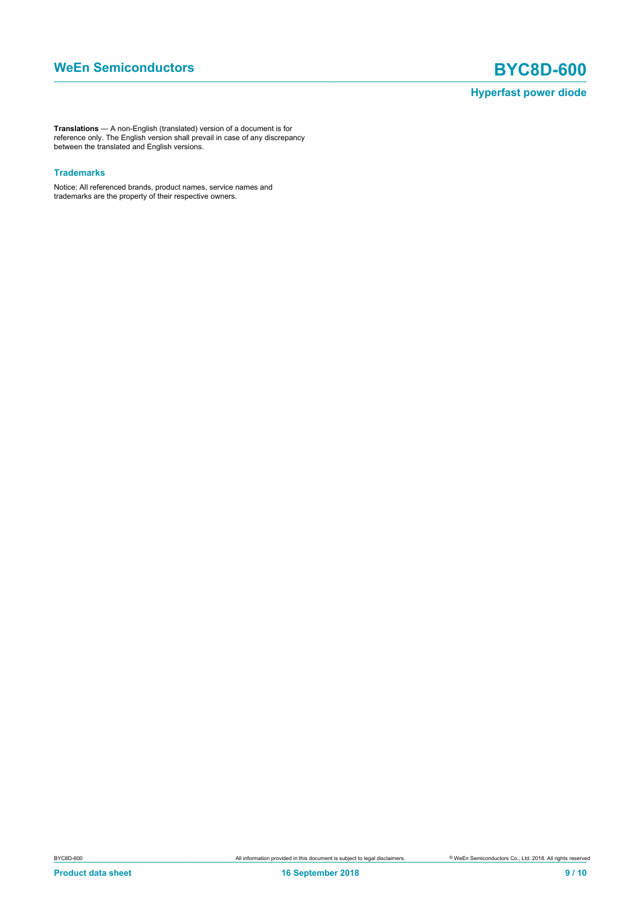**Translations** — A non-English (translated) version of a document is for reference only. The English version shall prevail in case of any discrepancy between the translated and English versions.

#### **Trademarks**

Notice: All referenced brands, product names, service names and trademarks are the property of their respective owners.